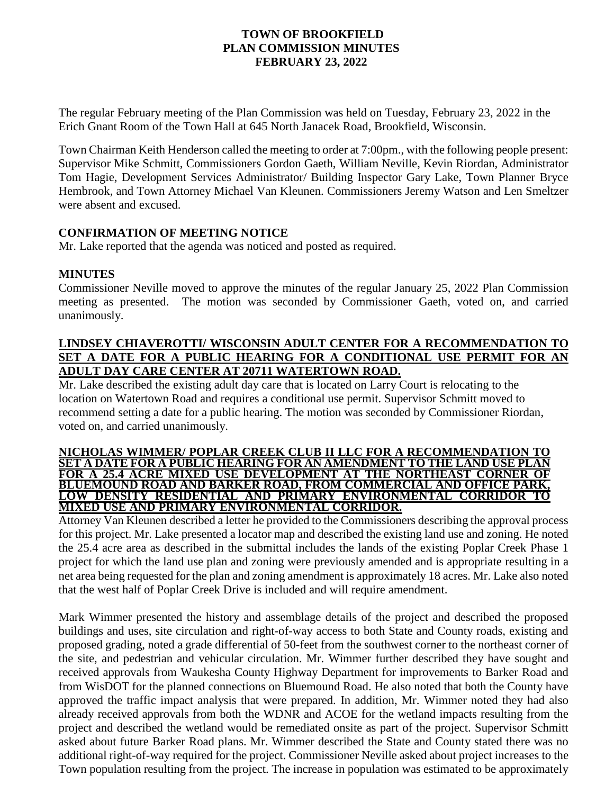### **TOWN OF BROOKFIELD PLAN COMMISSION MINUTES FEBRUARY 23, 2022**

The regular February meeting of the Plan Commission was held on Tuesday, February 23, 2022 in the Erich Gnant Room of the Town Hall at 645 North Janacek Road, Brookfield, Wisconsin.

Town Chairman Keith Henderson called the meeting to order at 7:00pm., with the following people present: Supervisor Mike Schmitt, Commissioners Gordon Gaeth, William Neville, Kevin Riordan, Administrator Tom Hagie, Development Services Administrator/ Building Inspector Gary Lake, Town Planner Bryce Hembrook, and Town Attorney Michael Van Kleunen. Commissioners Jeremy Watson and Len Smeltzer were absent and excused.

## **CONFIRMATION OF MEETING NOTICE**

Mr. Lake reported that the agenda was noticed and posted as required.

### **MINUTES**

Commissioner Neville moved to approve the minutes of the regular January 25, 2022 Plan Commission meeting as presented. The motion was seconded by Commissioner Gaeth, voted on, and carried unanimously.

## **LINDSEY CHIAVEROTTI/ WISCONSIN ADULT CENTER FOR A RECOMMENDATION TO SET A DATE FOR A PUBLIC HEARING FOR A CONDITIONAL USE PERMIT FOR AN ADULT DAY CARE CENTER AT 20711 WATERTOWN ROAD.**

Mr. Lake described the existing adult day care that is located on Larry Court is relocating to the location on Watertown Road and requires a conditional use permit. Supervisor Schmitt moved to recommend setting a date for a public hearing. The motion was seconded by Commissioner Riordan, voted on, and carried unanimously.

#### **NICHOLAS WIMMER/ POPLAR CREEK CLUB II LLC FOR A RECOMMENDATION TO SET A DATE FOR A PUBLIC HEARING FOR AN AMENDMENT TO THE LAND USE PLAN FOR A 25.4 ACRE MIXED USE DEVELOPMENT AT THE NORTHEAST CORNER OF BLUEMOUND ROAD AND BARKER ROAD, FROM COMMERCIAL AND OFFICE PARK, LOW DENSITY RESIDENTIAL AND PRIMARY ENVIRONMENTAL CORRIDOR TO MIXED USE AND PRIMARY ENVIRONMENTAL CORRIDOR.**

Attorney Van Kleunen described a letter he provided to the Commissioners describing the approval process for this project. Mr. Lake presented a locator map and described the existing land use and zoning. He noted the 25.4 acre area as described in the submittal includes the lands of the existing Poplar Creek Phase 1 project for which the land use plan and zoning were previously amended and is appropriate resulting in a net area being requested for the plan and zoning amendment is approximately 18 acres. Mr. Lake also noted that the west half of Poplar Creek Drive is included and will require amendment.

Mark Wimmer presented the history and assemblage details of the project and described the proposed buildings and uses, site circulation and right-of-way access to both State and County roads, existing and proposed grading, noted a grade differential of 50-feet from the southwest corner to the northeast corner of the site, and pedestrian and vehicular circulation. Mr. Wimmer further described they have sought and received approvals from Waukesha County Highway Department for improvements to Barker Road and from WisDOT for the planned connections on Bluemound Road. He also noted that both the County have approved the traffic impact analysis that were prepared. In addition, Mr. Wimmer noted they had also already received approvals from both the WDNR and ACOE for the wetland impacts resulting from the project and described the wetland would be remediated onsite as part of the project. Supervisor Schmitt asked about future Barker Road plans. Mr. Wimmer described the State and County stated there was no additional right-of-way required for the project. Commissioner Neville asked about project increases to the Town population resulting from the project. The increase in population was estimated to be approximately